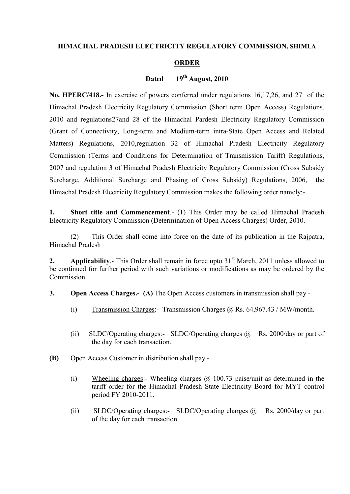### **HIMACHAL PRADESH ELECTRICITY REGULATORY COMMISSION, SHIMLA**

#### **ORDER**

### **Dated 19th August, 2010**

**No. HPERC/418.-** In exercise of powers conferred under regulations 16,17,26, and 27 of the Himachal Pradesh Electricity Regulatory Commission (Short term Open Access) Regulations, 2010 and regulations27and 28 of the Himachal Pardesh Electricity Regulatory Commission (Grant of Connectivity, Long-term and Medium-term intra-State Open Access and Related Matters) Regulations, 2010,regulation 32 of Himachal Pradesh Electricity Regulatory Commission (Terms and Conditions for Determination of Transmission Tariff) Regulations, 2007 and regulation 3 of Himachal Pradesh Electricity Regulatory Commission (Cross Subsidy Surcharge, Additional Surcharge and Phasing of Cross Subsidy) Regulations, 2006, the Himachal Pradesh Electricity Regulatory Commission makes the following order namely:-

**1. Short title and Commencement.**- (1) This Order may be called Himachal Pradesh Electricity Regulatory Commission (Determination of Open Access Charges) Order, 2010.

(2) This Order shall come into force on the date of its publication in the Rajpatra, Himachal Pradesh

**2. Applicability.**- This Order shall remain in force upto 31<sup>st</sup> March, 2011 unless allowed to be continued for further period with such variations or modifications as may be ordered by the **Commission** 

**3. Open Access Charges.- (A)** The Open Access customers in transmission shall pay -

- (i) Transmission Charges: Transmission Charges  $\omega$  Rs. 64,967.43 / MW/month.
- (ii) SLDC/Operating charges:- SLDC/Operating charges @ Rs. 2000/day or part of the day for each transaction.
- **(B)** Open Access Customer in distribution shall pay
	- (i) Wheeling charges:- Wheeling charges @ 100.73 paise/unit as determined in the tariff order for the Himachal Pradesh State Electricity Board for MYT control period FY 2010-2011.
	- (ii) SLDC/Operating charges:- SLDC/Operating charges @ Rs. 2000/day or part of the day for each transaction.